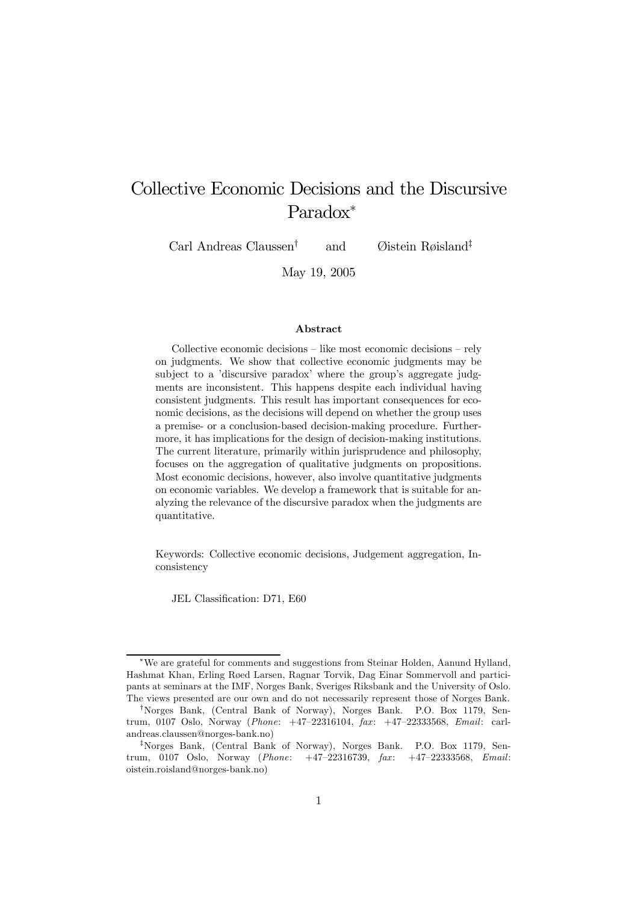# Collective Economic Decisions and the Discursive Paradox<sup>∗</sup>

Carl Andreas Claussen† and Øistein Røisland‡

May 19, 2005

#### Abstract

Collective economic decisions — like most economic decisions — rely on judgments. We show that collective economic judgments may be subject to a 'discursive paradox' where the group's aggregate judgments are inconsistent. This happens despite each individual having consistent judgments. This result has important consequences for economic decisions, as the decisions will depend on whether the group uses a premise- or a conclusion-based decision-making procedure. Furthermore, it has implications for the design of decision-making institutions. The current literature, primarily within jurisprudence and philosophy, focuses on the aggregation of qualitative judgments on propositions. Most economic decisions, however, also involve quantitative judgments on economic variables. We develop a framework that is suitable for analyzing the relevance of the discursive paradox when the judgments are quantitative.

Keywords: Collective economic decisions, Judgement aggregation, Inconsistency

JEL Classification: D71, E60

<sup>∗</sup>We are grateful for comments and suggestions from Steinar Holden, Aanund Hylland, Hashmat Khan, Erling Røed Larsen, Ragnar Torvik, Dag Einar Sommervoll and participants at seminars at the IMF, Norges Bank, Sveriges Riksbank and the University of Oslo. The views presented are our own and do not necessarily represent those of Norges Bank.

<sup>†</sup>Norges Bank, (Central Bank of Norway), Norges Bank. P.O. Box 1179, Sentrum, 0107 Oslo, Norway (*Phone:*  $+47-22316104$ ,  $\text{f.}2x$ :  $+47-22333568$ , *Email:* carlandreas.claussen@norges-bank.no)

<sup>‡</sup>Norges Bank, (Central Bank of Norway), Norges Bank. P.O. Box 1179, Sentrum, 0107 Oslo, Norway (Phone: +47-22316739, fax: +47-22333568, Email: oistein.roisland@norges-bank.no)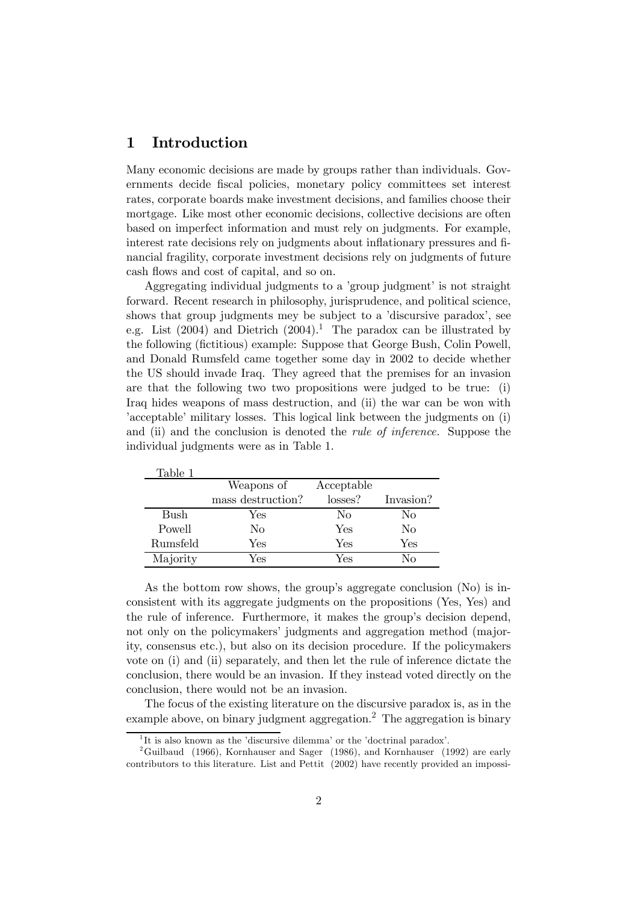### 1 Introduction

Many economic decisions are made by groups rather than individuals. Governments decide fiscal policies, monetary policy committees set interest rates, corporate boards make investment decisions, and families choose their mortgage. Like most other economic decisions, collective decisions are often based on imperfect information and must rely on judgments. For example, interest rate decisions rely on judgments about inflationary pressures and financial fragility, corporate investment decisions rely on judgments of future cash flows and cost of capital, and so on.

Aggregating individual judgments to a 'group judgment' is not straight forward. Recent research in philosophy, jurisprudence, and political science, shows that group judgments mey be subject to a 'discursive paradox', see e.g. List  $(2004)$  and Dietrich  $(2004).$ <sup>1</sup> The paradox can be illustrated by the following (fictitious) example: Suppose that George Bush, Colin Powell, and Donald Rumsfeld came together some day in 2002 to decide whether the US should invade Iraq. They agreed that the premises for an invasion are that the following two two propositions were judged to be true: (i) Iraq hides weapons of mass destruction, and (ii) the war can be won with 'acceptable' military losses. This logical link between the judgments on (i) and (ii) and the conclusion is denoted the *rule of inference*. Suppose the individual judgments were as in Table 1.

| Table 1  |                   |            |           |
|----------|-------------------|------------|-----------|
|          | Weapons of        | Acceptable |           |
|          | mass destruction? | losses?    | Invasion? |
| Bush     | Yes               | No         | No        |
| Powell   | Nο                | Yes        | No        |
| Rumsfeld | Yes               | Yes        | Yes       |
| Majority | Yes               | Yes        | Nο        |

As the bottom row shows, the group's aggregate conclusion (No) is inconsistent with its aggregate judgments on the propositions (Yes, Yes) and the rule of inference. Furthermore, it makes the group's decision depend, not only on the policymakers' judgments and aggregation method (majority, consensus etc.), but also on its decision procedure. If the policymakers vote on (i) and (ii) separately, and then let the rule of inference dictate the conclusion, there would be an invasion. If they instead voted directly on the conclusion, there would not be an invasion.

The focus of the existing literature on the discursive paradox is, as in the example above, on binary judgment aggregation.<sup>2</sup> The aggregation is binary

<sup>&</sup>lt;sup>1</sup>It is also known as the 'discursive dilemma' or the 'doctrinal paradox'.

<sup>&</sup>lt;sup>2</sup>Guilbaud (1966), Kornhauser and Sager (1986), and Kornhauser (1992) are early contributors to this literature. List and Pettit (2002) have recently provided an impossi-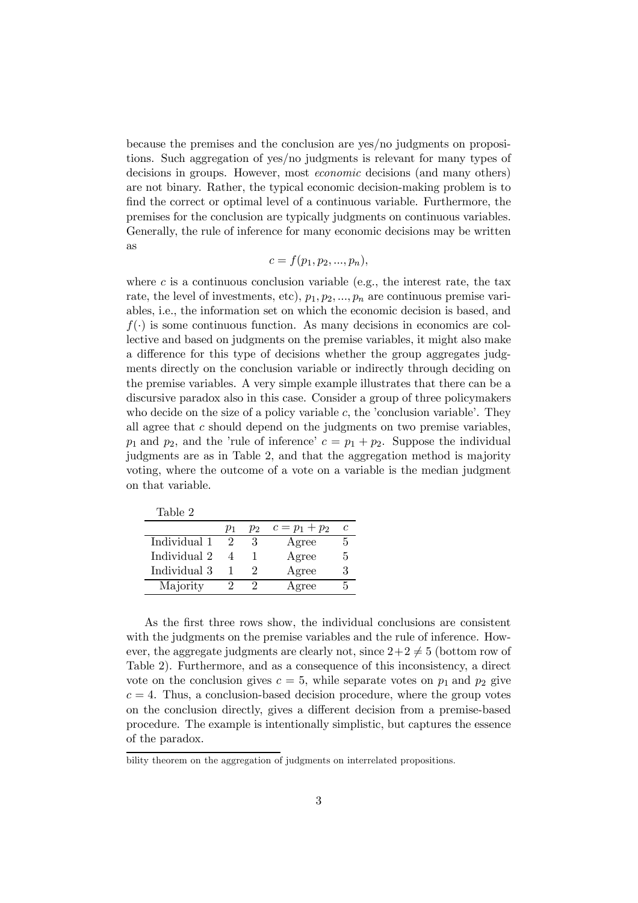because the premises and the conclusion are yes/no judgments on propositions. Such aggregation of yes/no judgments is relevant for many types of decisions in groups. However, most economic decisions (and many others) are not binary. Rather, the typical economic decision-making problem is to find the correct or optimal level of a continuous variable. Furthermore, the premises for the conclusion are typically judgments on continuous variables. Generally, the rule of inference for many economic decisions may be written as

$$
c=f(p_1,p_2,...,p_n),
$$

where c is a continuous conclusion variable (e.g., the interest rate, the tax rate, the level of investments, etc),  $p_1, p_2, ..., p_n$  are continuous premise variables, i.e., the information set on which the economic decision is based, and  $f(\cdot)$  is some continuous function. As many decisions in economics are collective and based on judgments on the premise variables, it might also make a difference for this type of decisions whether the group aggregates judgments directly on the conclusion variable or indirectly through deciding on the premise variables. A very simple example illustrates that there can be a discursive paradox also in this case. Consider a group of three policymakers who decide on the size of a policy variable  $c$ , the 'conclusion variable'. They all agree that  $c$  should depend on the judgments on two premise variables,  $p_1$  and  $p_2$ , and the 'rule of inference'  $c = p_1 + p_2$ . Suppose the individual judgments are as in Table 2, and that the aggregation method is majority voting, where the outcome of a vote on a variable is the median judgment on that variable.

Table 2

|              | $p_1$ | $p_{2}$ | $c = p_1 + p_2$ | c |
|--------------|-------|---------|-----------------|---|
| Individual 1 |       | 3       | Agree           | 5 |
| Individual 2 |       |         | Agree           | 5 |
| Individual 3 |       |         | Agree           | 3 |
| Majority     |       |         | Agree           |   |

As the first three rows show, the individual conclusions are consistent with the judgments on the premise variables and the rule of inference. However, the aggregate judgments are clearly not, since  $2+2 \neq 5$  (bottom row of Table 2). Furthermore, and as a consequence of this inconsistency, a direct vote on the conclusion gives  $c = 5$ , while separate votes on  $p_1$  and  $p_2$  give  $c = 4$ . Thus, a conclusion-based decision procedure, where the group votes on the conclusion directly, gives a different decision from a premise-based procedure. The example is intentionally simplistic, but captures the essence of the paradox.

bility theorem on the aggregation of judgments on interrelated propositions.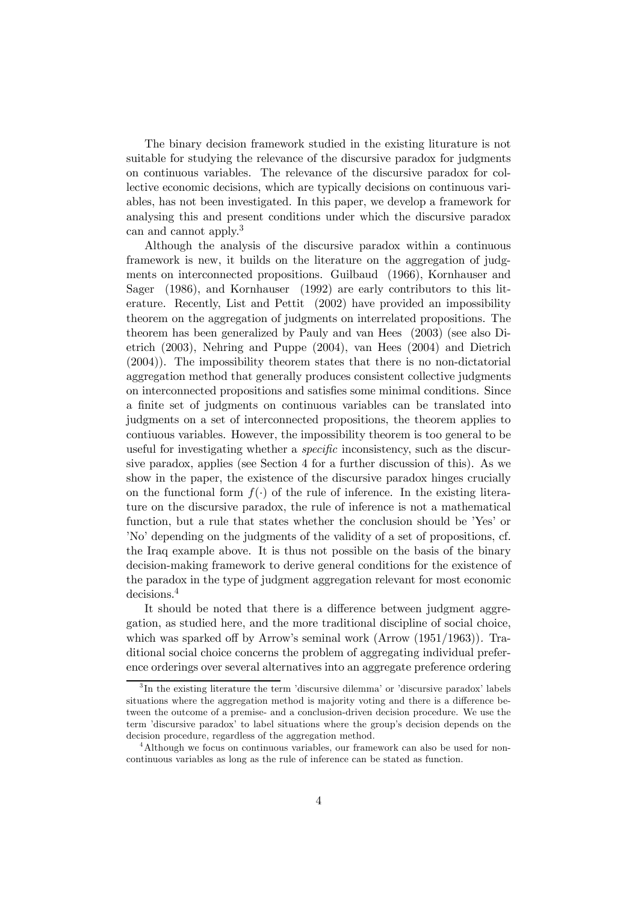The binary decision framework studied in the existing liturature is not suitable for studying the relevance of the discursive paradox for judgments on continuous variables. The relevance of the discursive paradox for collective economic decisions, which are typically decisions on continuous variables, has not been investigated. In this paper, we develop a framework for analysing this and present conditions under which the discursive paradox can and cannot apply.<sup>3</sup>

Although the analysis of the discursive paradox within a continuous framework is new, it builds on the literature on the aggregation of judgments on interconnected propositions. Guilbaud (1966), Kornhauser and Sager (1986), and Kornhauser (1992) are early contributors to this literature. Recently, List and Pettit (2002) have provided an impossibility theorem on the aggregation of judgments on interrelated propositions. The theorem has been generalized by Pauly and van Hees (2003) (see also Dietrich (2003), Nehring and Puppe (2004), van Hees (2004) and Dietrich (2004)). The impossibility theorem states that there is no non-dictatorial aggregation method that generally produces consistent collective judgments on interconnected propositions and satisfies some minimal conditions. Since a finite set of judgments on continuous variables can be translated into judgments on a set of interconnected propositions, the theorem applies to contiuous variables. However, the impossibility theorem is too general to be useful for investigating whether a specific inconsistency, such as the discursive paradox, applies (see Section 4 for a further discussion of this). As we show in the paper, the existence of the discursive paradox hinges crucially on the functional form  $f(.)$  of the rule of inference. In the existing literature on the discursive paradox, the rule of inference is not a mathematical function, but a rule that states whether the conclusion should be 'Yes' or 'No' depending on the judgments of the validity of a set of propositions, cf. the Iraq example above. It is thus not possible on the basis of the binary decision-making framework to derive general conditions for the existence of the paradox in the type of judgment aggregation relevant for most economic decisions.4

It should be noted that there is a difference between judgment aggregation, as studied here, and the more traditional discipline of social choice, which was sparked off by Arrow's seminal work (Arrow (1951/1963)). Traditional social choice concerns the problem of aggregating individual preference orderings over several alternatives into an aggregate preference ordering

<sup>3</sup> In the existing literature the term 'discursive dilemma' or 'discursive paradox' labels situations where the aggregation method is majority voting and there is a difference between the outcome of a premise- and a conclusion-driven decision procedure. We use the term 'discursive paradox' to label situations where the group's decision depends on the decision procedure, regardless of the aggregation method.

<sup>4</sup>Although we focus on continuous variables, our framework can also be used for noncontinuous variables as long as the rule of inference can be stated as function.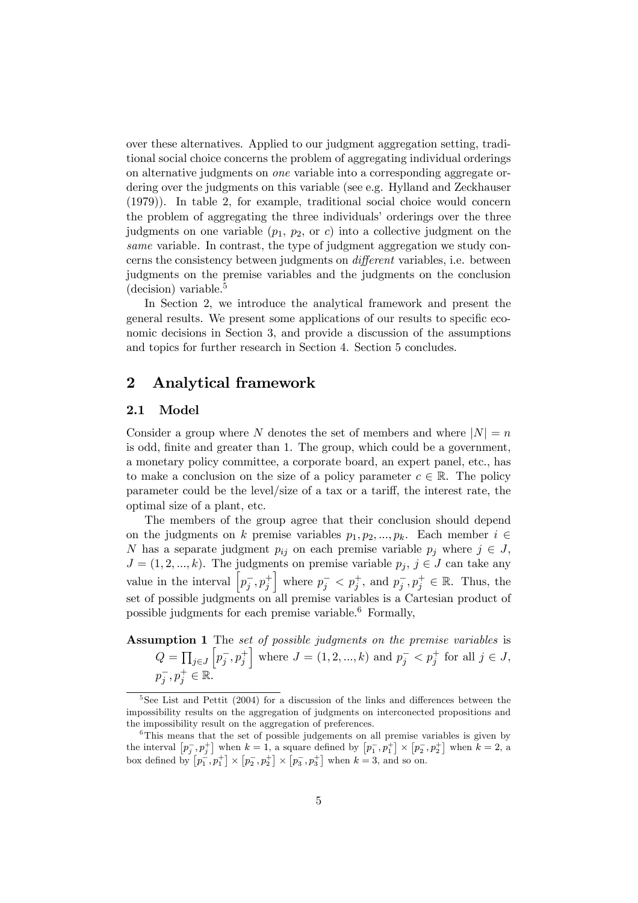over these alternatives. Applied to our judgment aggregation setting, traditional social choice concerns the problem of aggregating individual orderings on alternative judgments on one variable into a corresponding aggregate ordering over the judgments on this variable (see e.g. Hylland and Zeckhauser (1979)). In table 2, for example, traditional social choice would concern the problem of aggregating the three individuals' orderings over the three judgments on one variable  $(p_1, p_2, \text{or } c)$  into a collective judgment on the same variable. In contrast, the type of judgment aggregation we study concerns the consistency between judgments on different variables, i.e. between judgments on the premise variables and the judgments on the conclusion  $(decision)$  variable.<sup>5</sup>

In Section 2, we introduce the analytical framework and present the general results. We present some applications of our results to specific economic decisions in Section 3, and provide a discussion of the assumptions and topics for further research in Section 4. Section 5 concludes.

### 2 Analytical framework

### 2.1 Model

Consider a group where N denotes the set of members and where  $|N| = n$ is odd, finite and greater than 1. The group, which could be a government, a monetary policy committee, a corporate board, an expert panel, etc., has to make a conclusion on the size of a policy parameter  $c \in \mathbb{R}$ . The policy parameter could be the level/size of a tax or a tariff, the interest rate, the optimal size of a plant, etc.

The members of the group agree that their conclusion should depend on the judgments on k premise variables  $p_1, p_2, ..., p_k$ . Each member  $i \in$ N has a separate judgment  $p_{ij}$  on each premise variable  $p_j$  where  $j \in J$ ,  $J = (1, 2, ..., k)$ . The judgments on premise variable  $p_j, j \in J$  can take any value in the interval  $\left[p_j^-, p_j^+\right]$ where  $p_j^- < p_j^+$ , and  $p_j^-$ ,  $p_j^+ \in \mathbb{R}$ . Thus, the set of possible judgments on all premise variables is a Cartesian product of possible judgments for each premise variable.6 Formally,

Assumption 1 The set of possible judgments on the premise variables is  $Q=\prod_{j\in J}$  $\left[p_j^-, p_j^+\right]$ where  $J = (1, 2, ..., k)$  and  $p_j^- < p_j^+$  for all  $j \in J$ ,  $p_j^-, p_j^+ \in \mathbb{R}$ .

<sup>&</sup>lt;sup>5</sup>See List and Pettit (2004) for a discussion of the links and differences between the impossibility results on the aggregation of judgments on interconected propositions and the impossibility result on the aggregation of preferences.

<sup>&</sup>lt;sup>6</sup>This means that the set of possible judgements on all premise variables is given by the interval  $[p_j^-, p_j^+]$  when  $k = 1$ , a square defined by  $[p_1^-, p_1^+] \times [p_2^-, p_2^+]$  when  $k = 2$ , a box defined by  $\left[p_1^-, p_1^+\right] \times \left[p_2^-, p_2^+\right] \times \left[p_3^-, p_3^+\right]$  when  $k = 3$ , and so on.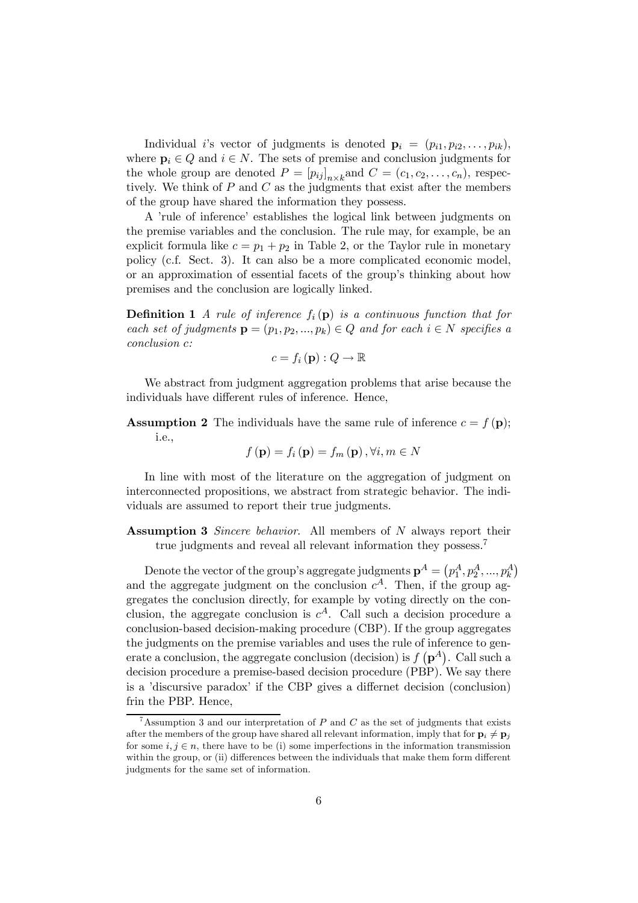Individual i's vector of judgments is denoted  $\mathbf{p}_i = (p_{i1}, p_{i2}, \ldots, p_{ik}),$ where  $p_i \in Q$  and  $i \in N$ . The sets of premise and conclusion judgments for the whole group are denoted  $P = [p_{ij}]_{n \times k}$  and  $C = (c_1, c_2, \ldots, c_n)$ , respectively tively. We think of  $P$  and  $C$  as the judgments that exist after the members of the group have shared the information they possess.

A 'rule of inference' establishes the logical link between judgments on the premise variables and the conclusion. The rule may, for example, be an explicit formula like  $c = p_1 + p_2$  in Table 2, or the Taylor rule in monetary policy (c.f. Sect. 3). It can also be a more complicated economic model, or an approximation of essential facets of the group's thinking about how premises and the conclusion are logically linked.

**Definition 1** A rule of inference  $f_i(\mathbf{p})$  is a continuous function that for each set of judgments  $\mathbf{p} = (p_1, p_2, ..., p_k) \in Q$  and for each  $i \in N$  specifies a conclusion c:

$$
c = f_i(\mathbf{p}) : Q \to \mathbb{R}
$$

We abstract from judgment aggregation problems that arise because the individuals have different rules of inference. Hence,

**Assumption 2** The individuals have the same rule of inference  $c = f(\mathbf{p})$ ; i.e.,

$$
f(\mathbf{p}) = f_i(\mathbf{p}) = f_m(\mathbf{p}), \forall i, m \in N
$$

In line with most of the literature on the aggregation of judgment on interconnected propositions, we abstract from strategic behavior. The individuals are assumed to report their true judgments.

**Assumption 3** Sincere behavior. All members of N always report their true judgments and reveal all relevant information they possess.<sup>7</sup>

Denote the vector of the group's aggregate judgments  $\mathbf{p}^A = \left(p_1^A, p_2^A, ..., p_k^A\right)$ and the aggregate judgment on the conclusion  $c^A$ . Then, if the group aggregates the conclusion directly, for example by voting directly on the conclusion, the aggregate conclusion is  $c^A$ . Call such a decision procedure a conclusion-based decision-making procedure (CBP). If the group aggregates the judgments on the premise variables and uses the rule of inference to generate a conclusion, the aggregate conclusion (decision) is  $f(p^A)$ . Call such a decision procedure a premise-based decision procedure (PBP). We say there is a 'discursive paradox' if the CBP gives a differnet decision (conclusion) frin the PBP. Hence,

<sup>&</sup>lt;sup>7</sup>Assumption 3 and our interpretation of P and C as the set of judgments that exists after the members of the group have shared all relevant information, imply that for  $\mathbf{p}_i \neq \mathbf{p}_j$ for some  $i, j \in n$ , there have to be (i) some imperfections in the information transmission within the group, or (ii) differences between the individuals that make them form different judgments for the same set of information.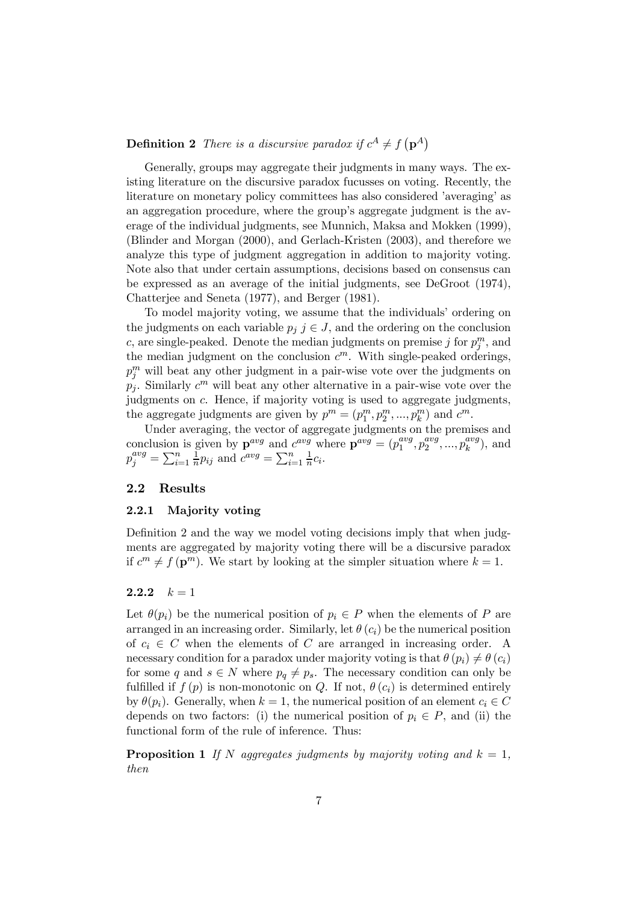**Definition 2** There is a discursive paradox if  $c^A \neq f(\mathbf{p}^A)$ 

Generally, groups may aggregate their judgments in many ways. The existing literature on the discursive paradox fucusses on voting. Recently, the literature on monetary policy committees has also considered 'averaging' as an aggregation procedure, where the group's aggregate judgment is the average of the individual judgments, see Munnich, Maksa and Mokken (1999), (Blinder and Morgan (2000), and Gerlach-Kristen (2003), and therefore we analyze this type of judgment aggregation in addition to majority voting. Note also that under certain assumptions, decisions based on consensus can be expressed as an average of the initial judgments, see DeGroot (1974), Chatterjee and Seneta (1977), and Berger (1981).

To model majority voting, we assume that the individuals' ordering on the judgments on each variable  $p_j$   $j \in J$ , and the ordering on the conclusion c, are single-peaked. Denote the median judgments on premise j for  $p_j^m$ , and the median judgment on the conclusion  $c^m$ . With single-peaked orderings,  $p_j^m$  will beat any other judgment in a pair-wise vote over the judgments on  $p_i$ . Similarly  $c^m$  will beat any other alternative in a pair-wise vote over the judgments on c. Hence, if majority voting is used to aggregate judgments, the aggregate judgments are given by  $p^m = (p_1^m, p_2^m, ..., p_k^m)$  and  $c^m$ .

Under averaging, the vector of aggregate judgments on the premises and conclusion is given by  $\mathbf{p}^{avg}$  and  $c^{avg}$  where  $\mathbf{p}^{avg} = (p_1^{avg}, p_2^{avg}, ..., p_k^{avg})$ , and  $p_j^{avg} = \sum_{i=1}^n \frac{1}{n} p_{ij}$  and  $c^{avg} = \sum_{i=1}^n \frac{1}{n} c_i$ .

### 2.2 Results

### 2.2.1 Majority voting

Definition 2 and the way we model voting decisions imply that when judgments are aggregated by majority voting there will be a discursive paradox if  $c^m \neq f(\mathbf{p}^m)$ . We start by looking at the simpler situation where  $k = 1$ .

### 2.2.2  $k = 1$

Let  $\theta(p_i)$  be the numerical position of  $p_i \in P$  when the elements of P are arranged in an increasing order. Similarly, let  $\theta(c_i)$  be the numerical position of  $c_i \in C$  when the elements of C are arranged in increasing order. A necessary condition for a paradox under majority voting is that  $\theta$  ( $p_i$ )  $\neq \theta$  ( $c_i$ ) for some q and  $s \in N$  where  $p_q \neq p_s$ . The necessary condition can only be fulfilled if  $f(p)$  is non-monotonic on Q. If not,  $\theta(c_i)$  is determined entirely by  $\theta(p_i)$ . Generally, when  $k = 1$ , the numerical position of an element  $c_i \in C$ depends on two factors: (i) the numerical position of  $p_i \in P$ , and (ii) the functional form of the rule of inference. Thus:

**Proposition 1** If N aggregates judgments by majority voting and  $k = 1$ , then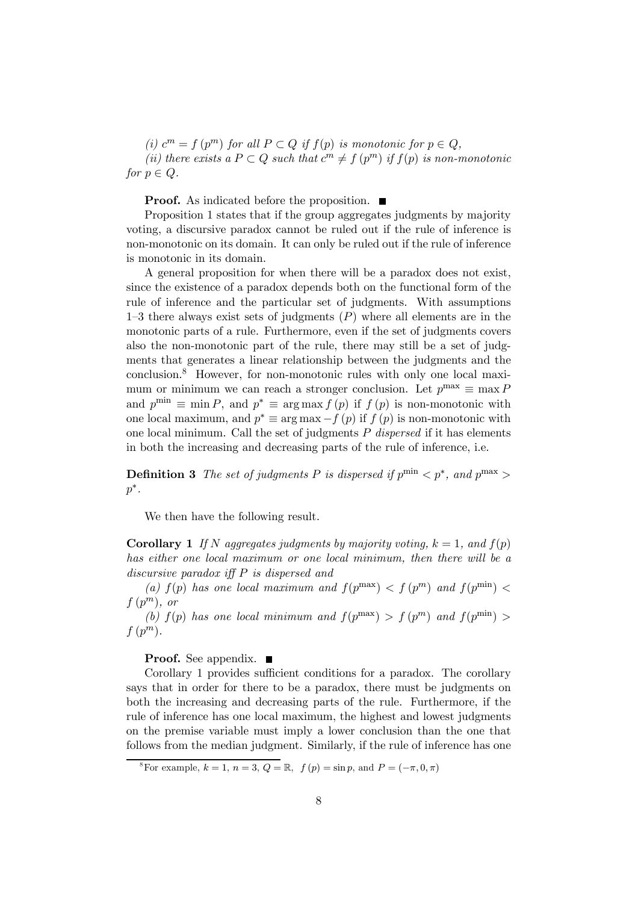(i)  $c^m = f(p^m)$  for all  $P \subset Q$  if  $f(p)$  is monotonic for  $p \in Q$ , (ii) there exists a  $P \subset Q$  such that  $c^m \neq f(p^m)$  if  $f(p)$  is non-monotonic for  $p \in Q$ .

**Proof.** As indicated before the proposition.  $\blacksquare$ 

Proposition 1 states that if the group aggregates judgments by majority voting, a discursive paradox cannot be ruled out if the rule of inference is non-monotonic on its domain. It can only be ruled out if the rule of inference is monotonic in its domain.

A general proposition for when there will be a paradox does not exist, since the existence of a paradox depends both on the functional form of the rule of inference and the particular set of judgments. With assumptions 1–3 there always exist sets of judgments  $(P)$  where all elements are in the monotonic parts of a rule. Furthermore, even if the set of judgments covers also the non-monotonic part of the rule, there may still be a set of judgments that generates a linear relationship between the judgments and the conclusion.8 However, for non-monotonic rules with only one local maximum or minimum we can reach a stronger conclusion. Let  $p^{\max} \equiv \max P$ and  $p^{\min} \equiv \min P$ , and  $p^* \equiv \arg \max f(p)$  if  $f(p)$  is non-monotonic with one local maximum, and  $p^* \equiv \arg \max_{f}(p)$  if  $f(p)$  is non-monotonic with one local minimum. Call the set of judgments  $P$  dispersed if it has elements in both the increasing and decreasing parts of the rule of inference, i.e.

**Definition 3** The set of judgments P is dispersed if  $p^{\min} < p^*$ , and  $p^{\max} >$  $p^*$ .

We then have the following result.

**Corollary 1** If N aggregates judgments by majority voting,  $k = 1$ , and  $f(p)$ has either one local maximum or one local minimum, then there will be a discursive paradox iff P is dispersed and

(a)  $f(p)$  has one local maximum and  $f(p^{\max}) < f(p^m)$  and  $f(p^{\min}) <$  $f(p^m)$ , or

(b)  $f(p)$  has one local minimum and  $f(p^{\max}) > f(p^m)$  and  $f(p^{\min}) >$  $f(p^m)$ .

**Proof.** See appendix.  $\blacksquare$ 

Corollary 1 provides sufficient conditions for a paradox. The corollary says that in order for there to be a paradox, there must be judgments on both the increasing and decreasing parts of the rule. Furthermore, if the rule of inference has one local maximum, the highest and lowest judgments on the premise variable must imply a lower conclusion than the one that follows from the median judgment. Similarly, if the rule of inference has one

<sup>&</sup>lt;sup>8</sup>For example,  $k = 1$ ,  $n = 3$ ,  $Q = \mathbb{R}$ ,  $f(p) = \sin p$ , and  $P = (-\pi, 0, \pi)$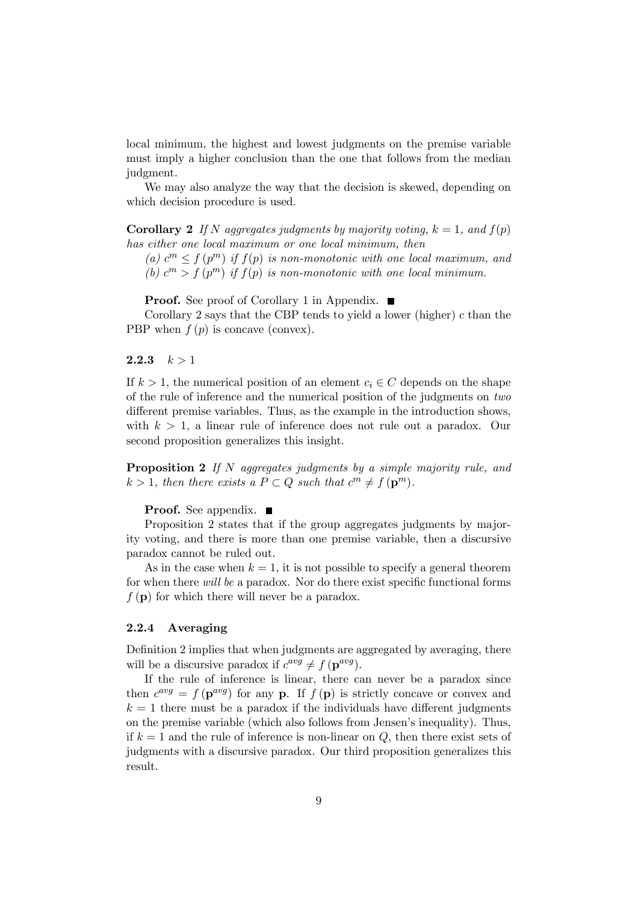local minimum, the highest and lowest judgments on the premise variable must imply a higher conclusion than the one that follows from the median judgment.

We may also analyze the way that the decision is skewed, depending on which decision procedure is used.

**Corollary 2** If N aggregates judgments by majority voting,  $k = 1$ , and  $f(p)$ has either one local maximum or one local minimum, then

(a)  $c^m \le f(p^m)$  if  $f(p)$  is non-monotonic with one local maximum, and (b)  $c^m > f(p^m)$  if  $f(p)$  is non-monotonic with one local minimum.

**Proof.** See proof of Corollary 1 in Appendix.  $\blacksquare$ 

Corollary 2 says that the CBP tends to yield a lower (higher)  $c$  than the PBP when  $f(p)$  is concave (convex).

#### 2.2.3  $k > 1$

If  $k > 1$ , the numerical position of an element  $c_i \in C$  depends on the shape of the rule of inference and the numerical position of the judgments on two different premise variables. Thus, as the example in the introduction shows, with  $k > 1$ , a linear rule of inference does not rule out a paradox. Our second proposition generalizes this insight.

Proposition 2 If N aggregates judgments by a simple majority rule, and  $k > 1$ , then there exists a  $P \subset Q$  such that  $c^m \neq f(\mathbf{p}^m)$ .

**Proof.** See appendix. ■

Proposition 2 states that if the group aggregates judgments by majority voting, and there is more than one premise variable, then a discursive paradox cannot be ruled out.

As in the case when  $k = 1$ , it is not possible to specify a general theorem for when there will be a paradox. Nor do there exist specific functional forms  $f(\mathbf{p})$  for which there will never be a paradox.

#### 2.2.4 Averaging

Definition 2 implies that when judgments are aggregated by averaging, there will be a discursive paradox if  $c^{avg} \neq f(\mathbf{p}^{avg})$ .

If the rule of inference is linear, there can never be a paradox since then  $c^{avg} = f(\mathbf{p}^{avg})$  for any **p**. If  $f(\mathbf{p})$  is strictly concave or convex and  $k = 1$  there must be a paradox if the individuals have different judgments on the premise variable (which also follows from Jensen's inequality). Thus, if  $k = 1$  and the rule of inference is non-linear on Q, then there exist sets of judgments with a discursive paradox. Our third proposition generalizes this result.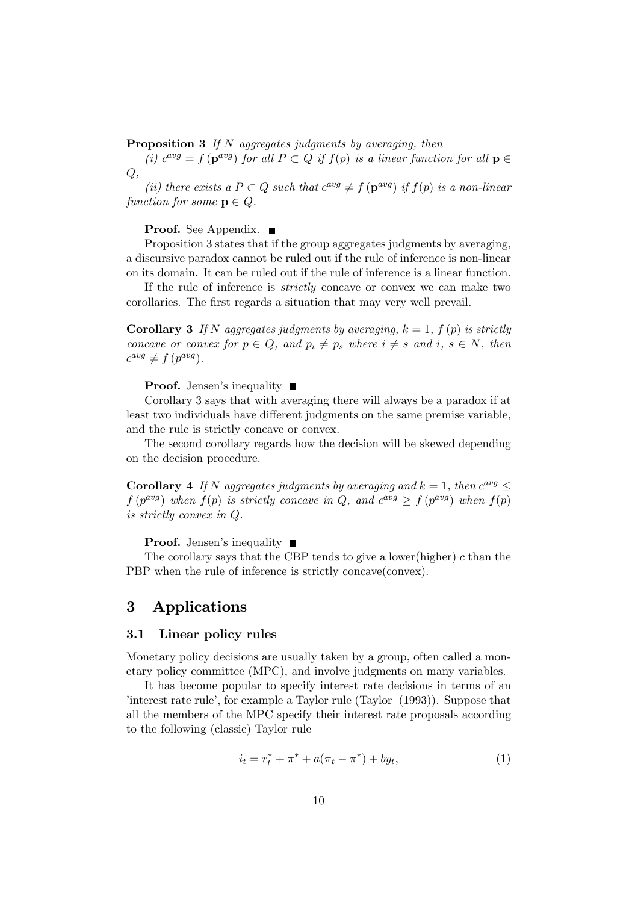**Proposition 3** If N aggregates judgments by averaging, then

(i)  $c^{avg} = f(\mathbf{p}^{avg})$  for all  $P \subset Q$  if  $f(p)$  is a linear function for all  $\mathbf{p} \in$  $Q,$ 

(ii) there exists a  $P \subset Q$  such that  $c^{avg} \neq f(\mathbf{p}^{avg})$  if  $f(p)$  is a non-linear function for some  $p \in Q$ .

Proof. See Appendix. ■

Proposition 3 states that if the group aggregates judgments by averaging, a discursive paradox cannot be ruled out if the rule of inference is non-linear on its domain. It can be ruled out if the rule of inference is a linear function.

If the rule of inference is strictly concave or convex we can make two corollaries. The first regards a situation that may very well prevail.

**Corollary 3** If N aggregates judgments by averaging,  $k = 1$ ,  $f(p)$  is strictly concave or convex for  $p \in Q$ , and  $p_i \neq p_s$  where  $i \neq s$  and  $i, s \in N$ , then  $c^{avg} \neq f(p^{avg}).$ 

**Proof.** Jensen's inequality  $\blacksquare$ 

Corollary 3 says that with averaging there will always be a paradox if at least two individuals have different judgments on the same premise variable, and the rule is strictly concave or convex.

The second corollary regards how the decision will be skewed depending on the decision procedure.

Corollary 4 If N aggregates judgments by averaging and  $k = 1$ , then  $c^{avg}$  $f(p^{avg})$  when  $f(p)$  is strictly concave in Q, and  $c^{avg} \ge f(p^{avg})$  when  $f(p)$ is strictly convex in Q.

**Proof.** Jensen's inequality  $\blacksquare$ 

The corollary says that the CBP tends to give a lower(higher)  $c$  than the PBP when the rule of inference is strictly concave(convex).

### 3 Applications

### 3.1 Linear policy rules

Monetary policy decisions are usually taken by a group, often called a monetary policy committee (MPC), and involve judgments on many variables.

It has become popular to specify interest rate decisions in terms of an 'interest rate rule', for example a Taylor rule (Taylor (1993)). Suppose that all the members of the MPC specify their interest rate proposals according to the following (classic) Taylor rule

$$
i_t = r_t^* + \pi^* + a(\pi_t - \pi^*) + by_t,
$$
\n(1)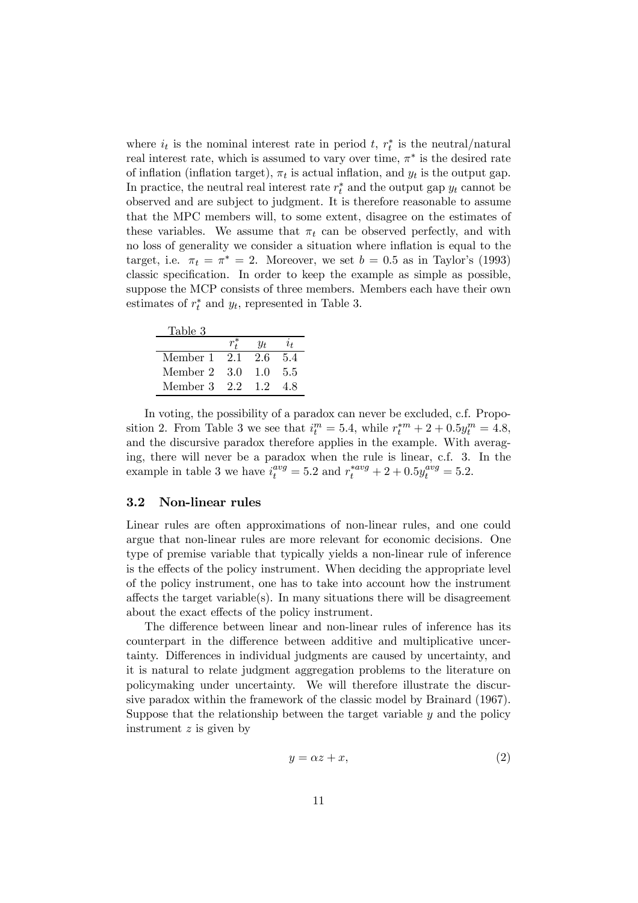where  $i_t$  is the nominal interest rate in period t,  $r_t^*$  is the neutral/natural real interest rate, which is assumed to vary over time,  $\pi^*$  is the desired rate of inflation (inflation target),  $\pi_t$  is actual inflation, and  $y_t$  is the output gap. In practice, the neutral real interest rate  $r_t^*$  and the output gap  $y_t$  cannot be observed and are subject to judgment. It is therefore reasonable to assume that the MPC members will, to some extent, disagree on the estimates of these variables. We assume that  $\pi_t$  can be observed perfectly, and with no loss of generality we consider a situation where inflation is equal to the target, i.e.  $\pi_t = \pi^* = 2$ . Moreover, we set  $b = 0.5$  as in Taylor's (1993) classic specification. In order to keep the example as simple as possible, suppose the MCP consists of three members. Members each have their own estimates of  $r_t^*$  and  $y_t$ , represented in Table 3.

| Table 3  |     |     |     |
|----------|-----|-----|-----|
|          |     | Yt. | lн  |
| Member 1 | 2.1 | 26  | 5.4 |
| Member 2 | 3.0 | 1.0 | 5.5 |
| Member 3 | 22  | 12  | 48  |

In voting, the possibility of a paradox can never be excluded, c.f. Proposition 2. From Table 3 we see that  $i_t^m = 5.4$ , while  $r_t^{*m} + 2 + 0.5y_t^m = 4.8$ , and the discursive paradox therefore applies in the example. With averaging, there will never be a paradox when the rule is linear, c.f. 3. In the example in table 3 we have  $i_t^{avg} = 5.2$  and  $r_t^{*avg} + 2 + 0.5y_t^{avg} = 5.2$ .

### 3.2 Non-linear rules

Linear rules are often approximations of non-linear rules, and one could argue that non-linear rules are more relevant for economic decisions. One type of premise variable that typically yields a non-linear rule of inference is the effects of the policy instrument. When deciding the appropriate level of the policy instrument, one has to take into account how the instrument affects the target variable(s). In many situations there will be disagreement about the exact effects of the policy instrument.

The difference between linear and non-linear rules of inference has its counterpart in the difference between additive and multiplicative uncertainty. Differences in individual judgments are caused by uncertainty, and it is natural to relate judgment aggregation problems to the literature on policymaking under uncertainty. We will therefore illustrate the discursive paradox within the framework of the classic model by Brainard (1967). Suppose that the relationship between the target variable  $y$  and the policy instrument  $z$  is given by

$$
y = \alpha z + x,\tag{2}
$$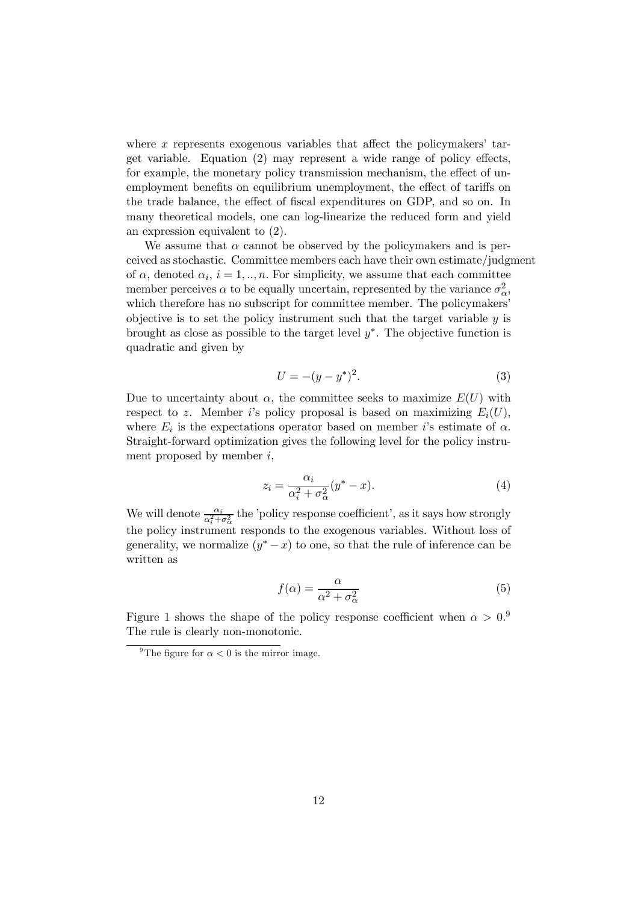where x represents exogenous variables that affect the policymakers' target variable. Equation (2) may represent a wide range of policy effects, for example, the monetary policy transmission mechanism, the effect of unemployment benefits on equilibrium unemployment, the effect of tariffs on the trade balance, the effect of fiscal expenditures on GDP, and so on. In many theoretical models, one can log-linearize the reduced form and yield an expression equivalent to (2).

We assume that  $\alpha$  cannot be observed by the policymakers and is perceived as stochastic. Committee members each have their own estimate/judgment of  $\alpha$ , denoted  $\alpha_i$ ,  $i = 1, ..., n$ . For simplicity, we assume that each committee member perceives  $\alpha$  to be equally uncertain, represented by the variance  $\sigma_{\alpha}^2$ , which therefore has no subscript for committee member. The policymakers' objective is to set the policy instrument such that the target variable  $y$  is brought as close as possible to the target level  $y^*$ . The objective function is quadratic and given by

$$
U = -(y - y^*)^2.
$$
 (3)

Due to uncertainty about  $\alpha$ , the committee seeks to maximize  $E(U)$  with respect to z. Member i's policy proposal is based on maximizing  $E_i(U)$ , where  $E_i$  is the expectations operator based on member i's estimate of  $\alpha$ . Straight-forward optimization gives the following level for the policy instrument proposed by member  $i$ ,

$$
z_i = \frac{\alpha_i}{\alpha_i^2 + \sigma_\alpha^2} (y^* - x). \tag{4}
$$

We will denote  $\frac{\alpha_i}{\alpha_i^2 + \sigma_\alpha^2}$  the 'policy response coefficient', as it says how strongly the policy instrument responds to the exogenous variables. Without loss of generality, we normalize  $(y^* - x)$  to one, so that the rule of inference can be written as

$$
f(\alpha) = \frac{\alpha}{\alpha^2 + \sigma_{\alpha}^2} \tag{5}
$$

Figure 1 shows the shape of the policy response coefficient when  $\alpha > 0$ . The rule is clearly non-monotonic.

<sup>&</sup>lt;sup>9</sup>The figure for  $\alpha < 0$  is the mirror image.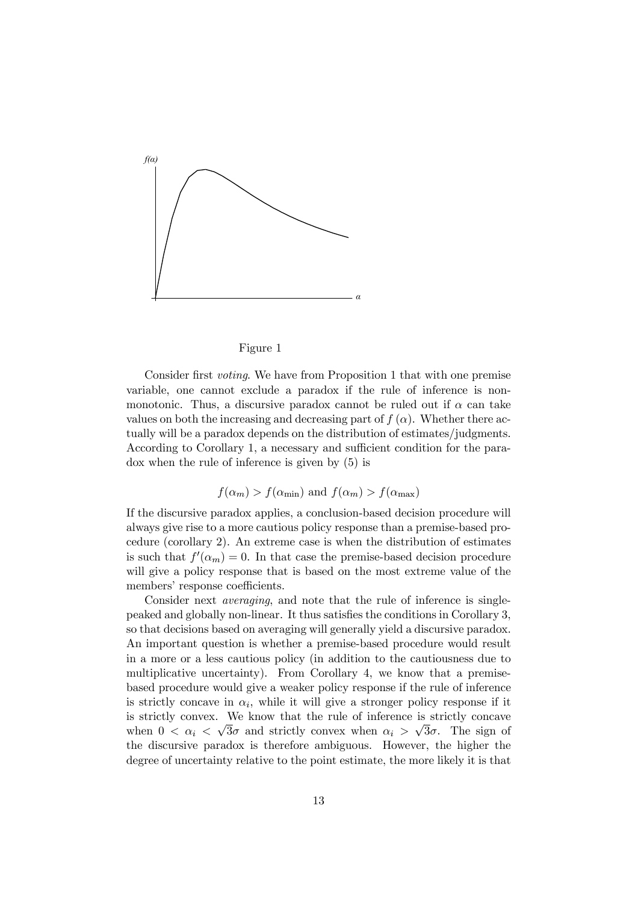

#### Figure 1

Consider first voting. We have from Proposition 1 that with one premise variable, one cannot exclude a paradox if the rule of inference is nonmonotonic. Thus, a discursive paradox cannot be ruled out if  $\alpha$  can take values on both the increasing and decreasing part of  $f(\alpha)$ . Whether there actually will be a paradox depends on the distribution of estimates/judgments. According to Corollary 1, a necessary and sufficient condition for the paradox when the rule of inference is given by (5) is

## $f(\alpha_m) > f(\alpha_{\min})$  and  $f(\alpha_m) > f(\alpha_{\max})$

If the discursive paradox applies, a conclusion-based decision procedure will always give rise to a more cautious policy response than a premise-based procedure (corollary 2). An extreme case is when the distribution of estimates is such that  $f'(\alpha_m)=0$ . In that case the premise-based decision procedure will give a policy response that is based on the most extreme value of the members' response coefficients.

Consider next averaging, and note that the rule of inference is singlepeaked and globally non-linear. It thus satisfies the conditions in Corollary 3, so that decisions based on averaging will generally yield a discursive paradox. An important question is whether a premise-based procedure would result in a more or a less cautious policy (in addition to the cautiousness due to multiplicative uncertainty). From Corollary 4, we know that a premisebased procedure would give a weaker policy response if the rule of inference is strictly concave in  $\alpha_i$ , while it will give a stronger policy response if it is strictly convex. We know that the rule of inference is strictly concave when  $0 < \alpha_i < \sqrt{3}\sigma$  and strictly convex when  $\alpha_i > \sqrt{3}\sigma$ . The sign of the discursive paradox is therefore ambiguous. However, the higher the degree of uncertainty relative to the point estimate, the more likely it is that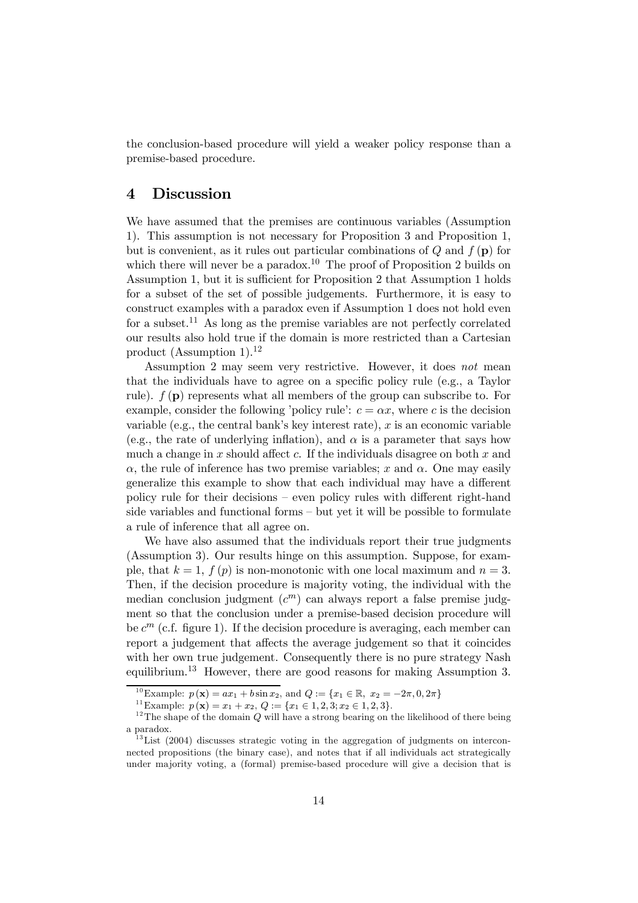the conclusion-based procedure will yield a weaker policy response than a premise-based procedure.

### 4 Discussion

We have assumed that the premises are continuous variables (Assumption 1). This assumption is not necessary for Proposition 3 and Proposition 1, but is convenient, as it rules out particular combinations of  $Q$  and  $f(\mathbf{p})$  for which there will never be a paradox.<sup>10</sup> The proof of Proposition 2 builds on Assumption 1, but it is sufficient for Proposition 2 that Assumption 1 holds for a subset of the set of possible judgements. Furthermore, it is easy to construct examples with a paradox even if Assumption 1 does not hold even for a subset.<sup>11</sup> As long as the premise variables are not perfectly correlated our results also hold true if the domain is more restricted than a Cartesian product (Assumption 1). $^{12}$ 

Assumption 2 may seem very restrictive. However, it does not mean that the individuals have to agree on a specific policy rule (e.g., a Taylor rule).  $f(\mathbf{p})$  represents what all members of the group can subscribe to. For example, consider the following 'policy rule':  $c = \alpha x$ , where c is the decision variable (e.g., the central bank's key interest rate),  $x$  is an economic variable (e.g., the rate of underlying inflation), and  $\alpha$  is a parameter that says how much a change in x should affect c. If the individuals disagree on both  $x$  and  $\alpha$ , the rule of inference has two premise variables; x and  $\alpha$ . One may easily generalize this example to show that each individual may have a different policy rule for their decisions — even policy rules with different right-hand side variables and functional forms — but yet it will be possible to formulate a rule of inference that all agree on.

We have also assumed that the individuals report their true judgments (Assumption 3). Our results hinge on this assumption. Suppose, for example, that  $k = 1$ ,  $f(p)$  is non-monotonic with one local maximum and  $n = 3$ . Then, if the decision procedure is majority voting, the individual with the median conclusion judgment  $(c^m)$  can always report a false premise judgment so that the conclusion under a premise-based decision procedure will be  $c^m$  (c.f. figure 1). If the decision procedure is averaging, each member can report a judgement that affects the average judgement so that it coincides with her own true judgement. Consequently there is no pure strategy Nash equilibrium.<sup>13</sup> However, there are good reasons for making Assumption 3.

<sup>&</sup>lt;sup>10</sup>Example:  $p(\mathbf{x}) = ax_1 + b \sin x_2$ , and  $Q := \{x_1 \in \mathbb{R}, x_2 = -2\pi, 0, 2\pi\}$ <br><sup>11</sup>Example:  $p(\mathbf{x}) = x_1 + x_2$ ,  $Q := \{x_1 \in 1, 2, 3; x_2 \in 1, 2, 3\}$ .<br><sup>12</sup>The shape of the domain Q will have a strong bearing on the likelihood of t a paradox.

 $^{13}$ List (2004) discusses strategic voting in the aggregation of judgments on interconnected propositions (the binary case), and notes that if all individuals act strategically under majority voting, a (formal) premise-based procedure will give a decision that is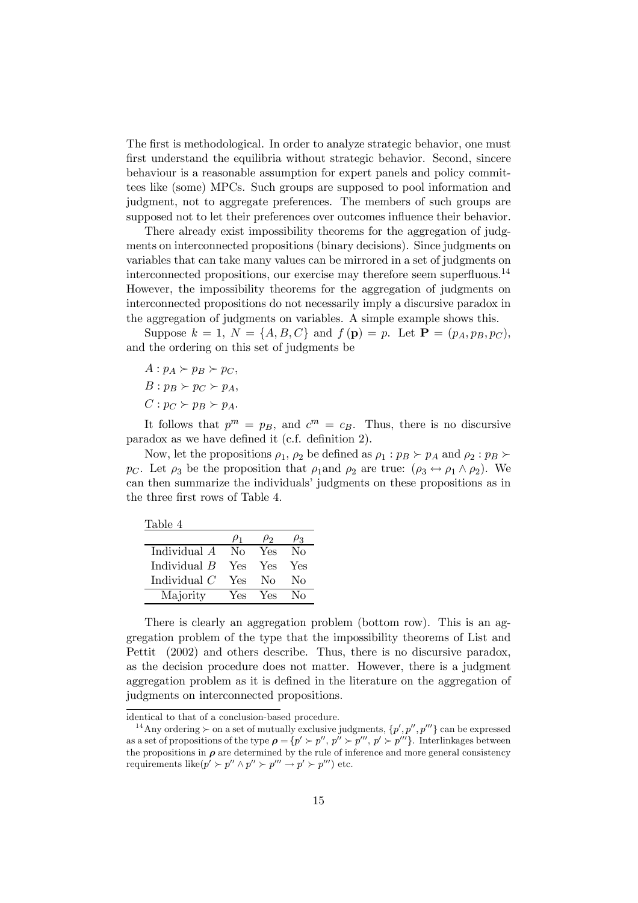The first is methodological. In order to analyze strategic behavior, one must first understand the equilibria without strategic behavior. Second, sincere behaviour is a reasonable assumption for expert panels and policy committees like (some) MPCs. Such groups are supposed to pool information and judgment, not to aggregate preferences. The members of such groups are supposed not to let their preferences over outcomes influence their behavior.

There already exist impossibility theorems for the aggregation of judgments on interconnected propositions (binary decisions). Since judgments on variables that can take many values can be mirrored in a set of judgments on interconnected propositions, our exercise may therefore seem superfluous.<sup>14</sup> However, the impossibility theorems for the aggregation of judgments on interconnected propositions do not necessarily imply a discursive paradox in the aggregation of judgments on variables. A simple example shows this.

Suppose  $k = 1, N = \{A, B, C\}$  and  $f(\mathbf{p}) = p$ . Let  $\mathbf{P} = (p_A, p_B, p_C)$ , and the ordering on this set of judgments be

- $A: p_A \succ p_B \succ p_C$
- $B: p_B \succ p_C \succ p_A$
- $C: p_C \succ p_B \succ p_A.$

It follows that  $p^m = p_B$ , and  $c^m = c_B$ . Thus, there is no discursive paradox as we have defined it (c.f. definition 2).

Now, let the propositions  $\rho_1$ ,  $\rho_2$  be defined as  $\rho_1 : p_B \succ p_A$  and  $\rho_2 : p_B \succ \rho_A$ pc. Let  $\rho_3$  be the proposition that  $\rho_1$  and  $\rho_2$  are true:  $(\rho_3 \leftrightarrow \rho_1 \land \rho_2)$ . We can then summarize the individuals' judgments on these propositions as in the three first rows of Table 4.

|                | $\mu_1$ | P2       | $\rho_3$         |
|----------------|---------|----------|------------------|
| Individual A   | Nο      | Yes      | $\rm No$         |
| Individual $B$ | Yes     | Yes      | Yes              |
| Individual $C$ | Yes     | $\rm No$ | Nο               |
| Majority       | Yes     | Yes      | $\rm N_{\Omega}$ |

There is clearly an aggregation problem (bottom row). This is an aggregation problem of the type that the impossibility theorems of List and Pettit (2002) and others describe. Thus, there is no discursive paradox, as the decision procedure does not matter. However, there is a judgment aggregation problem as it is defined in the literature on the aggregation of judgments on interconnected propositions.

identical to that of a conclusion-based procedure.

<sup>&</sup>lt;sup>14</sup> Any ordering  $\succ$  on a set of mutually exclusive judgments,  $\{p', p'', p'''\}$  can be expressed as a set of propositions of the type  $\rho = \{p' \succ p'', p'' \succ p''', p' \succ p''' \}$ . Interlinkages between the propositions in  $\rho$  are determined by the rule of inference and more general consistency requirements like( $p' > p'' \wedge p'' > p''' \rightarrow p' > p'''$ ) etc.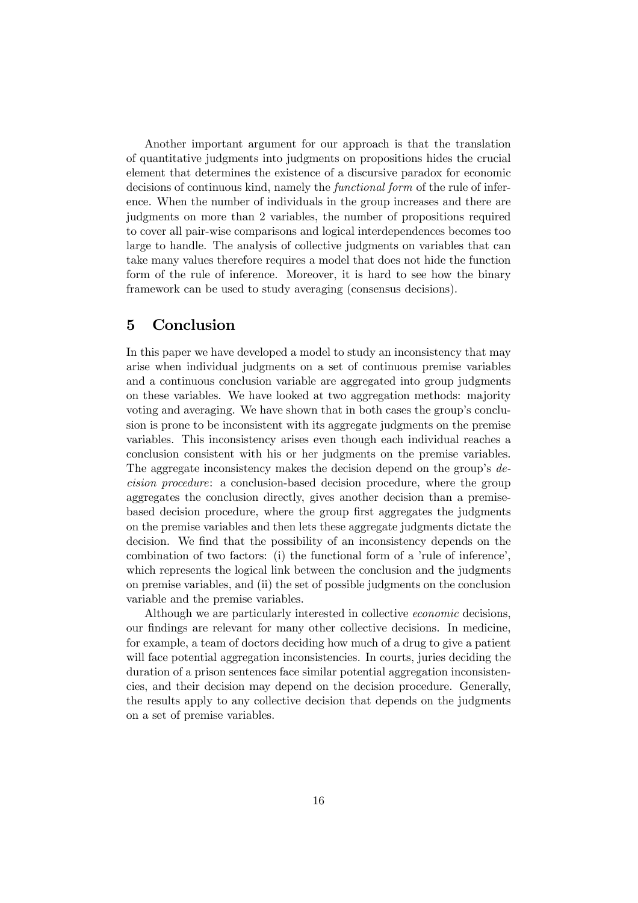Another important argument for our approach is that the translation of quantitative judgments into judgments on propositions hides the crucial element that determines the existence of a discursive paradox for economic decisions of continuous kind, namely the functional form of the rule of inference. When the number of individuals in the group increases and there are judgments on more than 2 variables, the number of propositions required to cover all pair-wise comparisons and logical interdependences becomes too large to handle. The analysis of collective judgments on variables that can take many values therefore requires a model that does not hide the function form of the rule of inference. Moreover, it is hard to see how the binary framework can be used to study averaging (consensus decisions).

### 5 Conclusion

In this paper we have developed a model to study an inconsistency that may arise when individual judgments on a set of continuous premise variables and a continuous conclusion variable are aggregated into group judgments on these variables. We have looked at two aggregation methods: majority voting and averaging. We have shown that in both cases the group's conclusion is prone to be inconsistent with its aggregate judgments on the premise variables. This inconsistency arises even though each individual reaches a conclusion consistent with his or her judgments on the premise variables. The aggregate inconsistency makes the decision depend on the group's decision procedure: a conclusion-based decision procedure, where the group aggregates the conclusion directly, gives another decision than a premisebased decision procedure, where the group first aggregates the judgments on the premise variables and then lets these aggregate judgments dictate the decision. We find that the possibility of an inconsistency depends on the combination of two factors: (i) the functional form of a 'rule of inference', which represents the logical link between the conclusion and the judgments on premise variables, and (ii) the set of possible judgments on the conclusion variable and the premise variables.

Although we are particularly interested in collective economic decisions, our findings are relevant for many other collective decisions. In medicine, for example, a team of doctors deciding how much of a drug to give a patient will face potential aggregation inconsistencies. In courts, juries deciding the duration of a prison sentences face similar potential aggregation inconsistencies, and their decision may depend on the decision procedure. Generally, the results apply to any collective decision that depends on the judgments on a set of premise variables.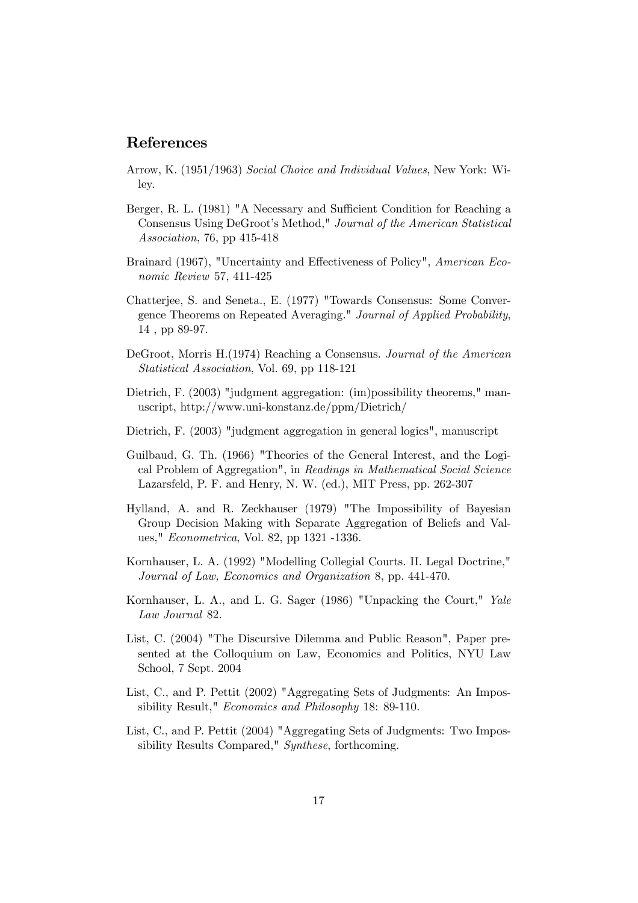### References

- Arrow, K. (1951/1963) Social Choice and Individual Values, New York: Wiley.
- Berger, R. L. (1981) "A Necessary and Sufficient Condition for Reaching a Consensus Using DeGroot's Method," Journal of the American Statistical Association, 76, pp 415-418
- Brainard (1967), "Uncertainty and Effectiveness of Policy", American Economic Review 57, 411-425
- Chatterjee, S. and Seneta., E. (1977) "Towards Consensus: Some Convergence Theorems on Repeated Averaging." Journal of Applied Probability, 14 , pp 89-97.
- DeGroot, Morris H.(1974) Reaching a Consensus. Journal of the American Statistical Association, Vol. 69, pp 118-121
- Dietrich, F. (2003) "judgment aggregation: (im)possibility theorems," manuscript, http://www.uni-konstanz.de/ppm/Dietrich/
- Dietrich, F. (2003) "judgment aggregation in general logics", manuscript
- Guilbaud, G. Th. (1966) "Theories of the General Interest, and the Logical Problem of Aggregation", in Readings in Mathematical Social Science Lazarsfeld, P. F. and Henry, N. W. (ed.), MIT Press, pp. 262-307
- Hylland, A. and R. Zeckhauser (1979) "The Impossibility of Bayesian Group Decision Making with Separate Aggregation of Beliefs and Values," Econometrica, Vol. 82, pp 1321 -1336.
- Kornhauser, L. A. (1992) "Modelling Collegial Courts. II. Legal Doctrine," Journal of Law, Economics and Organization 8, pp. 441-470.
- Kornhauser, L. A., and L. G. Sager (1986) "Unpacking the Court," Yale Law Journal 82.
- List, C. (2004) "The Discursive Dilemma and Public Reason", Paper presented at the Colloquium on Law, Economics and Politics, NYU Law School, 7 Sept. 2004
- List, C., and P. Pettit (2002) "Aggregating Sets of Judgments: An Impossibility Result," Economics and Philosophy 18: 89-110.
- List, C., and P. Pettit (2004) "Aggregating Sets of Judgments: Two Impossibility Results Compared," Synthese, forthcoming.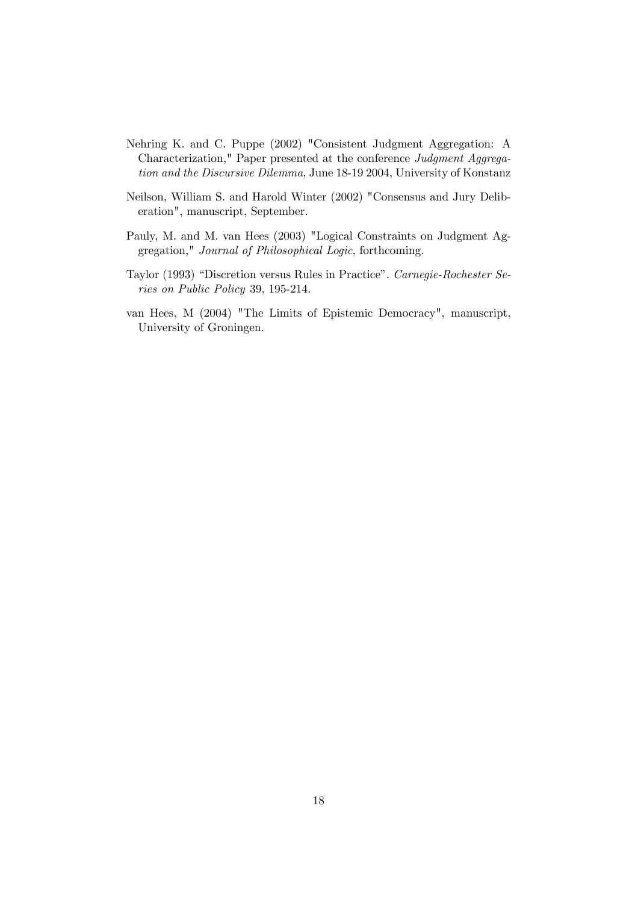- Nehring K. and C. Puppe (2002) "Consistent Judgment Aggregation: A Characterization," Paper presented at the conference Judgment Aggregation and the Discursive Dilemma, June 18-19 2004, University of Konstanz
- Neilson, William S. and Harold Winter (2002) "Consensus and Jury Deliberation", manuscript, September.
- Pauly, M. and M. van Hees (2003) "Logical Constraints on Judgment Aggregation," Journal of Philosophical Logic, forthcoming.
- Taylor (1993) "Discretion versus Rules in Practice". Carnegie-Rochester Series on Public Policy 39, 195-214.
- van Hees, M (2004) "The Limits of Epistemic Democracy", manuscript, University of Groningen.